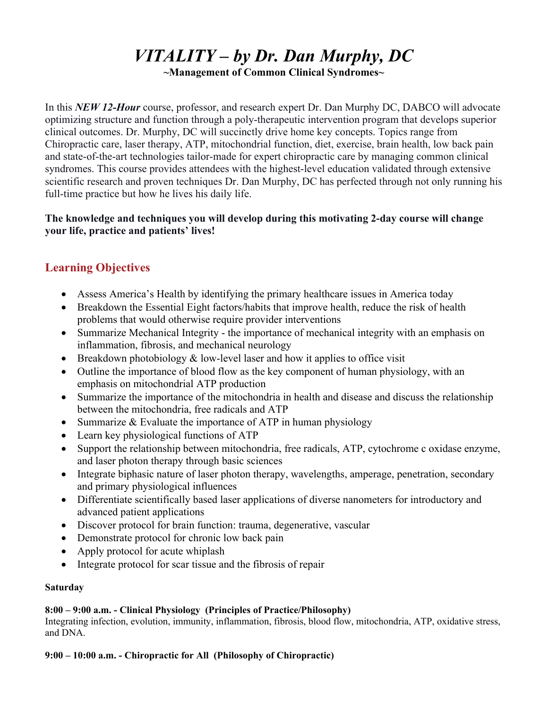# *VITALITY – by Dr. Dan Murphy, DC*

**~Management of Common Clinical Syndromes~** 

In this *NEW 12-Hour* course, professor, and research expert Dr. Dan Murphy DC, DABCO will advocate optimizing structure and function through a poly-therapeutic intervention program that develops superior clinical outcomes. Dr. Murphy, DC will succinctly drive home key concepts. Topics range from Chiropractic care, laser therapy, ATP, mitochondrial function, diet, exercise, brain health, low back pain and state-of-the-art technologies tailor-made for expert chiropractic care by managing common clinical syndromes. This course provides attendees with the highest-level education validated through extensive scientific research and proven techniques Dr. Dan Murphy, DC has perfected through not only running his full-time practice but how he lives his daily life.

# **The knowledge and techniques you will develop during this motivating 2-day course will change your life, practice and patients' lives!**

# **Learning Objectives**

- Assess America's Health by identifying the primary healthcare issues in America today
- Breakdown the Essential Eight factors/habits that improve health, reduce the risk of health problems that would otherwise require provider interventions
- Summarize Mechanical Integrity the importance of mechanical integrity with an emphasis on inflammation, fibrosis, and mechanical neurology
- **Breakdown photobiology & low-level laser and how it applies to office visit**
- Outline the importance of blood flow as the key component of human physiology, with an emphasis on mitochondrial ATP production
- Summarize the importance of the mitochondria in health and disease and discuss the relationship between the mitochondria, free radicals and ATP
- Summarize  $& Evaluate the importance of ATP in human physiology$
- Learn key physiological functions of ATP
- Support the relationship between mitochondria, free radicals, ATP, cytochrome c oxidase enzyme, and laser photon therapy through basic sciences
- Integrate biphasic nature of laser photon therapy, wavelengths, amperage, penetration, secondary and primary physiological influences
- Differentiate scientifically based laser applications of diverse nanometers for introductory and advanced patient applications
- Discover protocol for brain function: trauma, degenerative, vascular
- Demonstrate protocol for chronic low back pain
- Apply protocol for acute whiplash
- Integrate protocol for scar tissue and the fibrosis of repair

### **Saturday**

# **8:00 – 9:00 a.m. - Clinical Physiology (Principles of Practice/Philosophy)**

Integrating infection, evolution, immunity, inflammation, fibrosis, blood flow, mitochondria, ATP, oxidative stress, and DNA.

# **9:00 – 10:00 a.m. - Chiropractic for All (Philosophy of Chiropractic)**